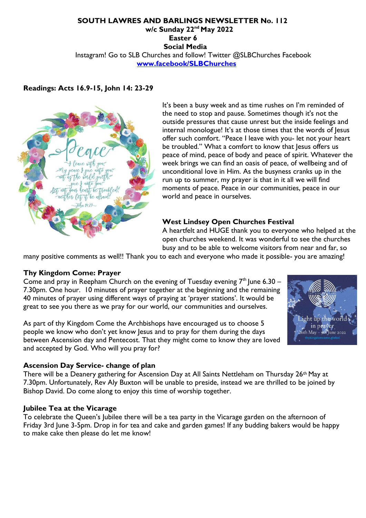## **SOUTH LAWRES AND BARLINGS NEWSLETTER No. 112 w/c Sunday 22nd May 2022 Easter 6 Social Media**  Instagram! Go to SLB Churches and follow! Twitter @SLBChurches Facebook **www.facebook/SLBChurches**

# **Readings: Acts 16.9-15, John 14: 23-29**



It's been a busy week and as time rushes on I'm reminded of the need to stop and pause. Sometimes though it's not the outside pressures that cause unrest but the inside feelings and internal monologue! It's at those times that the words of Jesus offer such comfort. "Peace I leave with you- let not your heart be troubled." What a comfort to know that Jesus offers us peace of mind, peace of body and peace of spirit. Whatever the week brings we can find an oasis of peace, of wellbeing and of unconditional love in Him. As the busyness cranks up in the run up to summer, my prayer is that in it all we will find moments of peace. Peace in our communities, peace in our world and peace in ourselves.

## **West Lindsey Open Churches Festival**

A heartfelt and HUGE thank you to everyone who helped at the open churches weekend. It was wonderful to see the churches busy and to be able to welcome visitors from near and far, so

many positive comments as well!! Thank you to each and everyone who made it possible- you are amazing!

#### **Thy Kingdom Come: Prayer**

Come and pray in Reepham Church on the evening of Tuesday evening  $7<sup>th</sup>$  lune 6.30 – 7.30pm. One hour. 10 minutes of prayer together at the beginning and the remaining 40 minutes of prayer using different ways of praying at 'prayer stations'. It would be great to see you there as we pray for our world, our communities and ourselves.

As part of thy Kingdom Come the Archbishops have encouraged us to choose 5 people we know who don't yet know Jesus and to pray for them during the days between Ascension day and Pentecost. That they might come to know they are loved and accepted by God. Who will you pray for?



#### **Ascension Day Service- change of plan**

There will be a Deanery gathering for Ascension Day at All Saints Nettleham on Thursday 26th May at 7.30pm. Unfortunately, Rev Aly Buxton will be unable to preside, instead we are thrilled to be joined by Bishop David. Do come along to enjoy this time of worship together.

#### **Jubilee Tea at the Vicarage**

To celebrate the Queen's Jubilee there will be a tea party in the Vicarage garden on the afternoon of Friday 3rd June 3-5pm. Drop in for tea and cake and garden games! If any budding bakers would be happy to make cake then please do let me know!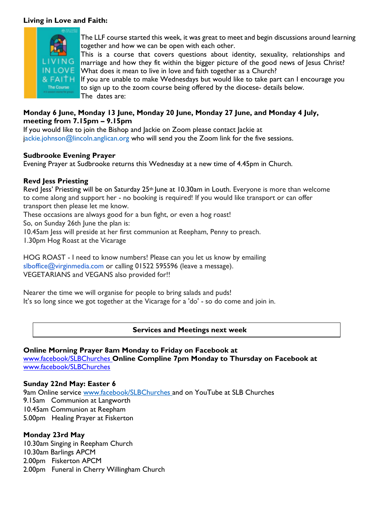### **Living in Love and Faith:**



The LLF course started this week, it was great to meet and begin discussions around learning together and how we can be open with each other.

This is a course that covers questions about identity, sexuality, relationships and marriage and how they fit within the bigger picture of the good news of Jesus Christ? What does it mean to live in love and faith together as a Church?

If you are unable to make Wednesdays but would like to take part can I encourage you to sign up to the zoom course being offered by the diocese- details below. The dates are:

# **Monday 6 June, Monday 13 June, Monday 20 June, Monday 27 June, and Monday 4 July, meeting from 7.15pm – 9.15pm**

If you would like to join the Bishop and Jackie on Zoom please contact Jackie at jackie.johnson@lincoln.anglican.org who will send you the Zoom link for the five sessions.

## **Sudbrooke Evening Prayer**

Evening Prayer at Sudbrooke returns this Wednesday at a new time of 4.45pm in Church.

# **Revd Jess Priesting**

Revd Jess' Priesting will be on Saturday 25<sup>th</sup> June at 10.30am in Louth. Everyone is more than welcome to come along and support her - no booking is required! If you would like transport or can offer transport then please let me know.

These occasions are always good for a bun fight, or even a hog roast!

So, on Sunday 26th June the plan is:

10.45am Jess will preside at her first communion at Reepham, Penny to preach.

1.30pm Hog Roast at the Vicarage

HOG ROAST - I need to know numbers! Please can you let us know by emailing slboffice@virginmedia.com or calling 01522 595596 (leave a message). VEGETARIANS and VEGANS also provided for!!

Nearer the time we will organise for people to bring salads and puds! It's so long since we got together at the Vicarage for a 'do' - so do come and join in.

## **Services and Meetings next week**

### **Online Morning Prayer 8am Monday to Friday on Facebook at**  www.facebook/SLBChurches **Online Compline 7pm Monday to Thursday on Facebook at**  www.facebook/SLBChurches

## **Sunday 22nd May: Easter 6**

9am Online service www.facebook/SLBChurches and on YouTube at SLB Churches 9.15am Communion at Langworth 10.45am Communion at Reepham 5.00pm Healing Prayer at Fiskerton

# **Monday 23rd May**

10.30am Singing in Reepham Church 10.30am Barlings APCM 2.00pm Fiskerton APCM 2.00pm Funeral in Cherry Willingham Church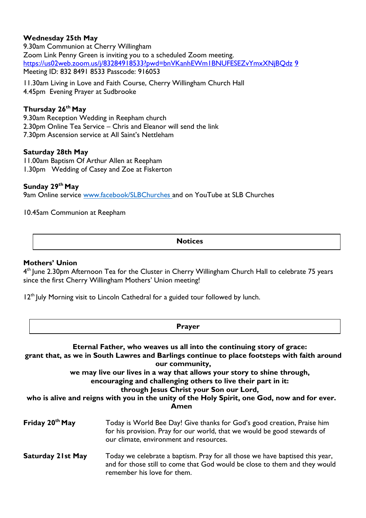# **Wednesday 25th May**

9.30am Communion at Cherry Willingham Zoom Link Penny Green is inviting you to a scheduled Zoom meeting. https://us02web.zoom.us/j/83284918533?pwd=bnVKanhEWm1BNUFESEZvYmxXNjBQdz 9 Meeting ID: 832 8491 8533 Passcode: 916053

11.30am Living in Love and Faith Course, Cherry Willingham Church Hall 4.45pm Evening Prayer at Sudbrooke

## **Thursday 26th May**

9.30am Reception Wedding in Reepham church 2.30pm Online Tea Service – Chris and Eleanor will send the link 7.30pm Ascension service at All Saint's Nettleham

#### **Saturday 28th May**

11.00am Baptism Of Arthur Allen at Reepham 1.30pm Wedding of Casey and Zoe at Fiskerton

# **Sunday 29th May**

9am Online service www.facebook/SLBChurches and on YouTube at SLB Churches

10.45am Communion at Reepham

**Notices**

#### **Mothers' Union**

4 th June 2.30pm Afternoon Tea for the Cluster in Cherry Willingham Church Hall to celebrate 75 years since the first Cherry Willingham Mothers' Union meeting!

 $12<sup>th</sup>$  July Morning visit to Lincoln Cathedral for a guided tour followed by lunch.

|                                                                                                                                                                                                                                                                                                                                                                                                                                                                                       | <b>Prayer</b>                                                                                                                                                                                  |
|---------------------------------------------------------------------------------------------------------------------------------------------------------------------------------------------------------------------------------------------------------------------------------------------------------------------------------------------------------------------------------------------------------------------------------------------------------------------------------------|------------------------------------------------------------------------------------------------------------------------------------------------------------------------------------------------|
| Eternal Father, who weaves us all into the continuing story of grace:<br>grant that, as we in South Lawres and Barlings continue to place footsteps with faith around<br>our community,<br>we may live our lives in a way that allows your story to shine through,<br>encouraging and challenging others to live their part in it:<br>through Jesus Christ your Son our Lord,<br>who is alive and reigns with you in the unity of the Holy Spirit, one God, now and for ever.<br>Amen |                                                                                                                                                                                                |
| Friday 20 <sup>th</sup> May                                                                                                                                                                                                                                                                                                                                                                                                                                                           | Today is World Bee Day! Give thanks for God's good creation, Praise him<br>for his provision. Pray for our world, that we would be good stewards of<br>our climate, environment and resources. |
| Saturday 21st May                                                                                                                                                                                                                                                                                                                                                                                                                                                                     | Today we celebrate a baptism. Pray for all those we have baptised this year,<br>and for those still to come that God would be close to them and they would<br>remember his love for them.      |